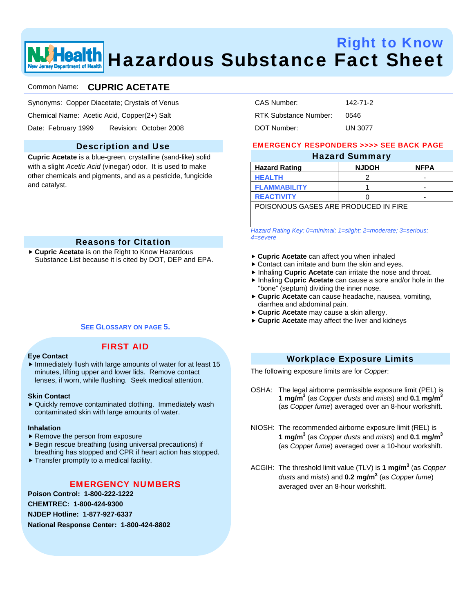# Right to Know Health Hazardous Substance Fact Sheet w Jersey Department of Health

# Common Name: **CUPRIC ACETATE**

- Synonyms: Copper Diacetate; Crystals of Venus
- Chemical Name: Acetic Acid, Copper(2+) Salt
- Date: February 1999 Revision: October 2008

# Description and Use

**Cupric Acetate** is a blue-green, crystalline (sand-like) solid with a slight *Acetic Acid* (vinegar) odor. It is used to make other chemicals and pigments, and as a pesticide, fungicide and catalyst.

# Reasons for Citation

▶ Cupric Acetate is on the Right to Know Hazardous Substance List because it is cited by DOT, DEP and EPA.

## **SEE GLOSSARY ON PAGE 5.**

FIRST AID

## **Eye Contact**

 $\blacktriangleright$  Immediately flush with large amounts of water for at least 15 minutes, lifting upper and lower lids. Remove contact lenses, if worn, while flushing. Seek medical attention.

#### **Skin Contact**

▶ Quickly remove contaminated clothing. Immediately wash contaminated skin with large amounts of water.

#### **Inhalation**

- $\blacktriangleright$  Remove the person from exposure
- $\blacktriangleright$  Begin rescue breathing (using universal precautions) if breathing has stopped and CPR if heart action has stopped.
- $\blacktriangleright$  Transfer promptly to a medical facility.

## EMERGENCY NUMBERS

**Poison Control: 1-800-222-1222 CHEMTREC: 1-800-424-9300 NJDEP Hotline: 1-877-927-6337 National Response Center: 1-800-424-8802** 

| CAS Number:           | 142-71-2       |
|-----------------------|----------------|
| RTK Substance Number: | 0546           |
| DOT Number:           | <b>UN 3077</b> |

## EMERGENCY RESPONDERS >>>> SEE BACK PAGE

| <b>Hazard Summary</b>                |              |             |  |  |
|--------------------------------------|--------------|-------------|--|--|
| <b>Hazard Rating</b>                 | <b>NJDOH</b> | <b>NFPA</b> |  |  |
| <b>HEALTH</b>                        |              | -           |  |  |
| <b>FLAMMABILITY</b>                  |              | -           |  |  |
| <b>REACTIVITY</b>                    |              | -           |  |  |
| POISONOUS GASES ARE PRODUCED IN FIRE |              |             |  |  |

*Hazard Rating Key: 0=minimal; 1=slight; 2=moderate; 3=serious; 4=severe*

- ▶ Cupric Acetate can affect you when inhaled
- $\triangleright$  Contact can irritate and burn the skin and eyes.
- **F** Inhaling **Cupric Acetate** can irritate the nose and throat.
- **h** Inhaling Cupric Acetate can cause a sore and/or hole in the "bone" (septum) dividing the inner nose.
- **Cupric Acetate** can cause headache, nausea, vomiting, diarrhea and abdominal pain.
- ► Cupric Acetate may cause a skin allergy.
- ► Cupric Acetate may affect the liver and kidneys

## Workplace Exposure Limits

The following exposure limits are for *Copper*:

- OSHA: The legal airborne permissible exposure limit (PEL) is **1 mg/m3** (as *Copper dusts* and *mists*) and **0.1 mg/m3** (as *Copper fume*) averaged over an 8-hour workshift.
- NIOSH: The recommended airborne exposure limit (REL) is **1 mg/m3** (as *Copper dusts* and *mists*) and **0.1 mg/m3** (as *Copper fume*) averaged over a 10-hour workshift.
- ACGIH: The threshold limit value (TLV) is **1 mg/m3** (as *Copper dusts* and *mists*) and **0.2 mg/m3** (as *Copper fume*) averaged over an 8-hour workshift.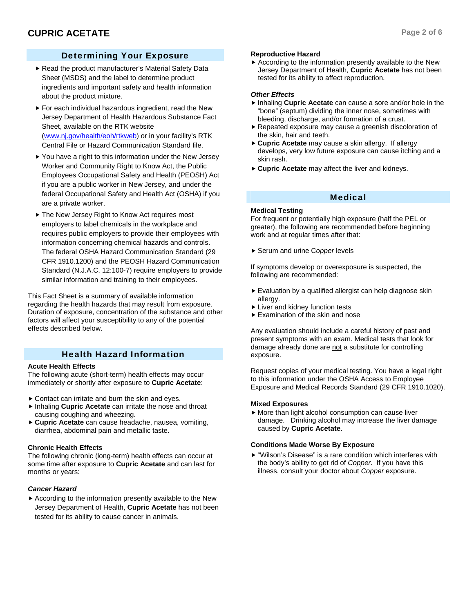# Determining Your Exposure

- Read the product manufacturer's Material Safety Data Sheet (MSDS) and the label to determine product ingredients and important safety and health information about the product mixture.
- $\blacktriangleright$  For each individual hazardous ingredient, read the New Jersey Department of Health Hazardous Substance Fact Sheet, available on the RTK website (www.nj.gov/health/eoh/rtkweb) or in your facility's RTK Central File or Hazard Communication Standard file.
- $\blacktriangleright$  You have a right to this information under the New Jersey Worker and Community Right to Know Act, the Public Employees Occupational Safety and Health (PEOSH) Act if you are a public worker in New Jersey, and under the federal Occupational Safety and Health Act (OSHA) if you are a private worker.
- ▶ The New Jersey Right to Know Act requires most employers to label chemicals in the workplace and requires public employers to provide their employees with information concerning chemical hazards and controls. The federal OSHA Hazard Communication Standard (29 CFR 1910.1200) and the PEOSH Hazard Communication Standard (N.J.A.C. 12:100-7) require employers to provide similar information and training to their employees.

This Fact Sheet is a summary of available information regarding the health hazards that may result from exposure. Duration of exposure, concentration of the substance and other factors will affect your susceptibility to any of the potential effects described below.

# Health Hazard Information

## **Acute Health Effects**

The following acute (short-term) health effects may occur immediately or shortly after exposure to **Cupric Acetate**:

- $\triangleright$  Contact can irritate and burn the skin and eves.
- **F** Inhaling **Cupric Acetate** can irritate the nose and throat causing coughing and wheezing.
- **► Cupric Acetate** can cause headache, nausea, vomiting, diarrhea, abdominal pain and metallic taste.

## **Chronic Health Effects**

The following chronic (long-term) health effects can occur at some time after exposure to **Cupric Acetate** and can last for months or years:

## *Cancer Hazard*

 $\blacktriangleright$  According to the information presently available to the New Jersey Department of Health, **Cupric Acetate** has not been tested for its ability to cause cancer in animals.

## **Reproductive Hazard**

 $\blacktriangleright$  According to the information presently available to the New Jersey Department of Health, **Cupric Acetate** has not been tested for its ability to affect reproduction.

## *Other Effects*

- f Inhaling **Cupric Acetate** can cause a sore and/or hole in the "bone" (septum) dividing the inner nose, sometimes with bleeding, discharge, and/or formation of a crust.
- Repeated exposure may cause a greenish discoloration of the skin, hair and teeth.
- ► Cupric Acetate may cause a skin allergy. If allergy develops, very low future exposure can cause itching and a skin rash.
- **Cupric Acetate** may affect the liver and kidneys.

# Medical

## **Medical Testing**

For frequent or potentially high exposure (half the PEL or greater), the following are recommended before beginning work and at regular times after that:

▶ Serum and urine Copper levels

If symptoms develop or overexposure is suspected, the following are recommended:

- $\blacktriangleright$  Evaluation by a qualified allergist can help diagnose skin allergy.
- $\blacktriangleright$  Liver and kidney function tests
- $\blacktriangleright$  Examination of the skin and nose

Any evaluation should include a careful history of past and present symptoms with an exam. Medical tests that look for damage already done are not a substitute for controlling exposure.

Request copies of your medical testing. You have a legal right to this information under the OSHA Access to Employee Exposure and Medical Records Standard (29 CFR 1910.1020).

## **Mixed Exposures**

 $\blacktriangleright$  More than light alcohol consumption can cause liver damage. Drinking alcohol may increase the liver damage caused by **Cupric Acetate**.

## **Conditions Made Worse By Exposure**

 $\blacktriangleright$  "Wilson's Disease" is a rare condition which interferes with the body's ability to get rid of *Copper*. If you have this illness, consult your doctor about *Copper* exposure.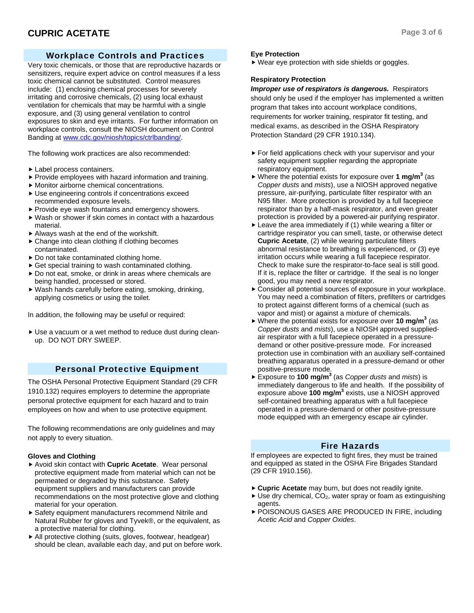# Workplace Controls and Practices

Very toxic chemicals, or those that are reproductive hazards or sensitizers, require expert advice on control measures if a less toxic chemical cannot be substituted. Control measures include: (1) enclosing chemical processes for severely irritating and corrosive chemicals, (2) using local exhaust ventilation for chemicals that may be harmful with a single exposure, and (3) using general ventilation to control exposures to skin and eye irritants. For further information on workplace controls, consult the NIOSH document on Control Banding at www.cdc.gov/niosh/topics/ctrlbanding/.

The following work practices are also recommended:

- $\blacktriangleright$  Label process containers.
- $\blacktriangleright$  Provide employees with hazard information and training.
- $\blacktriangleright$  Monitor airborne chemical concentrations.
- $\blacktriangleright$  Use engineering controls if concentrations exceed recommended exposure levels.
- $\blacktriangleright$  Provide eye wash fountains and emergency showers.
- $\blacktriangleright$  Wash or shower if skin comes in contact with a hazardous material.
- $\blacktriangleright$  Always wash at the end of the workshift.
- $\triangleright$  Change into clean clothing if clothing becomes contaminated.
- $\triangleright$  Do not take contaminated clothing home.
- $\triangleright$  Get special training to wash contaminated clothing.
- $\triangleright$  Do not eat, smoke, or drink in areas where chemicals are being handled, processed or stored.
- $\blacktriangleright$  Wash hands carefully before eating, smoking, drinking, applying cosmetics or using the toilet.

In addition, the following may be useful or required:

Use a vacuum or a wet method to reduce dust during cleanup. DO NOT DRY SWEEP.

# Personal Protective Equipment

The OSHA Personal Protective Equipment Standard (29 CFR 1910.132) requires employers to determine the appropriate personal protective equipment for each hazard and to train employees on how and when to use protective equipment.

The following recommendations are only guidelines and may not apply to every situation.

# **Gloves and Clothing**

- ▶ Avoid skin contact with **Cupric Acetate**. Wear personal protective equipment made from material which can not be permeated or degraded by this substance. Safety equipment suppliers and manufacturers can provide recommendations on the most protective glove and clothing material for your operation.
- $\triangleright$  Safety equipment manufacturers recommend Nitrile and Natural Rubber for gloves and Tyvek®, or the equivalent, as a protective material for clothing.
- $\blacktriangleright$  All protective clothing (suits, gloves, footwear, headgear) should be clean, available each day, and put on before work.

# **Eye Protection**

 $\blacktriangleright$  Wear eye protection with side shields or goggles.

# **Respiratory Protection**

*Improper use of respirators is dangerous.* Respirators should only be used if the employer has implemented a written program that takes into account workplace conditions, requirements for worker training, respirator fit testing, and medical exams, as described in the OSHA Respiratory Protection Standard (29 CFR 1910.134).

- $\blacktriangleright$  For field applications check with your supervisor and your safety equipment supplier regarding the appropriate respiratory equipment.
- ▶ Where the potential exists for exposure over 1 mg/m<sup>3</sup> (as *Copper dusts* and *mists*), use a NIOSH approved negative pressure, air-purifying, particulate filter respirator with an N95 filter. More protection is provided by a full facepiece respirator than by a half-mask respirator, and even greater protection is provided by a powered-air purifying respirator.
- $\blacktriangleright$  Leave the area immediately if (1) while wearing a filter or cartridge respirator you can smell, taste, or otherwise detect **Cupric Acetate**, (2) while wearing particulate filters abnormal resistance to breathing is experienced, or (3) eye irritation occurs while wearing a full facepiece respirator. Check to make sure the respirator-to-face seal is still good. If it is, replace the filter or cartridge. If the seal is no longer good, you may need a new respirator.
- $\triangleright$  Consider all potential sources of exposure in your workplace. You may need a combination of filters, prefilters or cartridges to protect against different forms of a chemical (such as vapor and mist) or against a mixture of chemicals.
- ▶ Where the potential exists for exposure over **10 mg/m<sup>3</sup>** (as *Copper dusts* and *mists*), use a NIOSH approved suppliedair respirator with a full facepiece operated in a pressuredemand or other positive-pressure mode. For increased protection use in combination with an auxiliary self-contained breathing apparatus operated in a pressure-demand or other positive-pressure mode.
- ▶ Exposure to **100 mg/m<sup>3</sup>** (as *Copper dusts* and *mists*) is immediately dangerous to life and health. If the possibility of exposure above 100 mg/m<sup>3</sup> exists, use a NIOSH approved self-contained breathing apparatus with a full facepiece operated in a pressure-demand or other positive-pressure mode equipped with an emergency escape air cylinder.

# Fire Hazards

If employees are expected to fight fires, they must be trained and equipped as stated in the OSHA Fire Brigades Standard (29 CFR 1910.156).

- ► Cupric Acetate may burn, but does not readily ignite.
- $\blacktriangleright$  Use dry chemical, CO<sub>2</sub>, water spray or foam as extinguishing agents.
- **POISONOUS GASES ARE PRODUCED IN FIRE, including** *Acetic Acid* and *Copper Oxides*.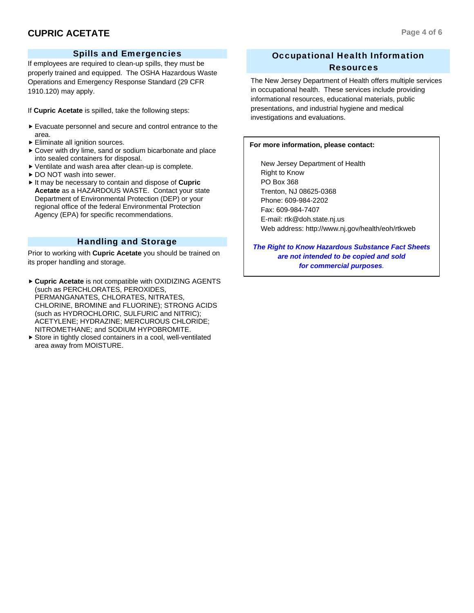# Spills and Emergencies

If employees are required to clean-up spills, they must be properly trained and equipped. The OSHA Hazardous Waste Operations and Emergency Response Standard (29 CFR 1910.120) may apply.

If **Cupric Acetate** is spilled, take the following steps:

- $\blacktriangleright$  Evacuate personnel and secure and control entrance to the area.
- $\blacktriangleright$  Eliminate all ignition sources.
- $\triangleright$  Cover with dry lime, sand or sodium bicarbonate and place into sealed containers for disposal.
- $\blacktriangleright$  Ventilate and wash area after clean-up is complete.
- ▶ DO NOT wash into sewer.
- $\blacktriangleright$  It may be necessary to contain and dispose of **Cupric Acetate** as a HAZARDOUS WASTE. Contact your state Department of Environmental Protection (DEP) or your regional office of the federal Environmental Protection Agency (EPA) for specific recommendations.

# Handling and Storage

Prior to working with **Cupric Acetate** you should be trained on its proper handling and storage.

- **Cupric Acetate** is not compatible with OXIDIZING AGENTS (such as PERCHLORATES, PEROXIDES, PERMANGANATES, CHLORATES, NITRATES, CHLORINE, BROMINE and FLUORINE); STRONG ACIDS (such as HYDROCHLORIC, SULFURIC and NITRIC); ACETYLENE; HYDRAZINE; MERCUROUS CHLORIDE; NITROMETHANE; and SODIUM HYPOBROMITE.
- $\triangleright$  Store in tightly closed containers in a cool, well-ventilated area away from MOISTURE.

# Occupational Health Information Resources

The New Jersey Department of Health offers multiple services in occupational health. These services include providing informational resources, educational materials, public presentations, and industrial hygiene and medical investigations and evaluations.

## **For more information, please contact:**

 New Jersey Department of Health Right to Know PO Box 368 Trenton, NJ 08625-0368 Phone: 609-984-2202 Fax: 609-984-7407 E-mail: rtk@doh.state.nj.us Web address: http://www.nj.gov/health/eoh/rtkweb

*The Right to Know Hazardous Substance Fact Sheets are not intended to be copied and sold for commercial purposes.*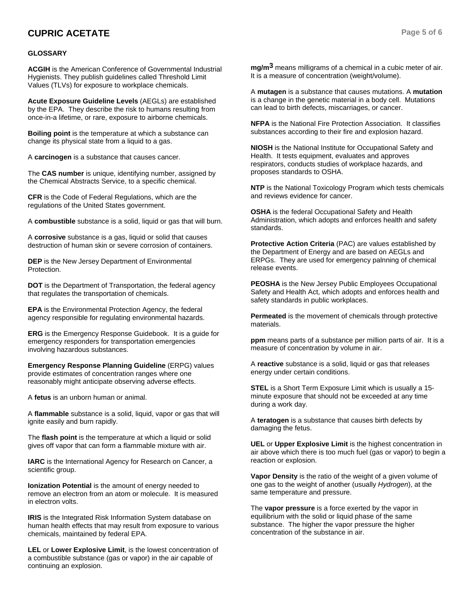# **CUPRIC ACETATE Page 5 of 6**

## **GLOSSARY**

**ACGIH** is the American Conference of Governmental Industrial Hygienists. They publish guidelines called Threshold Limit Values (TLVs) for exposure to workplace chemicals.

**Acute Exposure Guideline Levels** (AEGLs) are established by the EPA. They describe the risk to humans resulting from once-in-a lifetime, or rare, exposure to airborne chemicals.

**Boiling point** is the temperature at which a substance can change its physical state from a liquid to a gas.

A **carcinogen** is a substance that causes cancer.

The **CAS number** is unique, identifying number, assigned by the Chemical Abstracts Service, to a specific chemical.

**CFR** is the Code of Federal Regulations, which are the regulations of the United States government.

A **combustible** substance is a solid, liquid or gas that will burn.

A **corrosive** substance is a gas, liquid or solid that causes destruction of human skin or severe corrosion of containers.

**DEP** is the New Jersey Department of Environmental Protection.

**DOT** is the Department of Transportation, the federal agency that regulates the transportation of chemicals.

**EPA** is the Environmental Protection Agency, the federal agency responsible for regulating environmental hazards.

**ERG** is the Emergency Response Guidebook. It is a guide for emergency responders for transportation emergencies involving hazardous substances.

**Emergency Response Planning Guideline** (ERPG) values provide estimates of concentration ranges where one reasonably might anticipate observing adverse effects.

A **fetus** is an unborn human or animal.

A **flammable** substance is a solid, liquid, vapor or gas that will ignite easily and burn rapidly.

The **flash point** is the temperature at which a liquid or solid gives off vapor that can form a flammable mixture with air.

**IARC** is the International Agency for Research on Cancer, a scientific group.

**Ionization Potential** is the amount of energy needed to remove an electron from an atom or molecule. It is measured in electron volts.

**IRIS** is the Integrated Risk Information System database on human health effects that may result from exposure to various chemicals, maintained by federal EPA.

**LEL** or **Lower Explosive Limit**, is the lowest concentration of a combustible substance (gas or vapor) in the air capable of continuing an explosion.

**mg/m3** means milligrams of a chemical in a cubic meter of air. It is a measure of concentration (weight/volume).

A **mutagen** is a substance that causes mutations. A **mutation** is a change in the genetic material in a body cell. Mutations can lead to birth defects, miscarriages, or cancer.

**NFPA** is the National Fire Protection Association. It classifies substances according to their fire and explosion hazard.

**NIOSH** is the National Institute for Occupational Safety and Health. It tests equipment, evaluates and approves respirators, conducts studies of workplace hazards, and proposes standards to OSHA.

**NTP** is the National Toxicology Program which tests chemicals and reviews evidence for cancer.

**OSHA** is the federal Occupational Safety and Health Administration, which adopts and enforces health and safety standards.

**Protective Action Criteria** (PAC) are values established by the Department of Energy and are based on AEGLs and ERPGs. They are used for emergency palnning of chemical release events.

**PEOSHA** is the New Jersey Public Employees Occupational Safety and Health Act, which adopts and enforces health and safety standards in public workplaces.

**Permeated** is the movement of chemicals through protective materials.

**ppm** means parts of a substance per million parts of air. It is a measure of concentration by volume in air.

A **reactive** substance is a solid, liquid or gas that releases energy under certain conditions.

**STEL** is a Short Term Exposure Limit which is usually a 15 minute exposure that should not be exceeded at any time during a work day.

A **teratogen** is a substance that causes birth defects by damaging the fetus.

**UEL** or **Upper Explosive Limit** is the highest concentration in air above which there is too much fuel (gas or vapor) to begin a reaction or explosion.

**Vapor Density** is the ratio of the weight of a given volume of one gas to the weight of another (usually *Hydrogen*), at the same temperature and pressure.

The **vapor pressure** is a force exerted by the vapor in equilibrium with the solid or liquid phase of the same substance. The higher the vapor pressure the higher concentration of the substance in air.